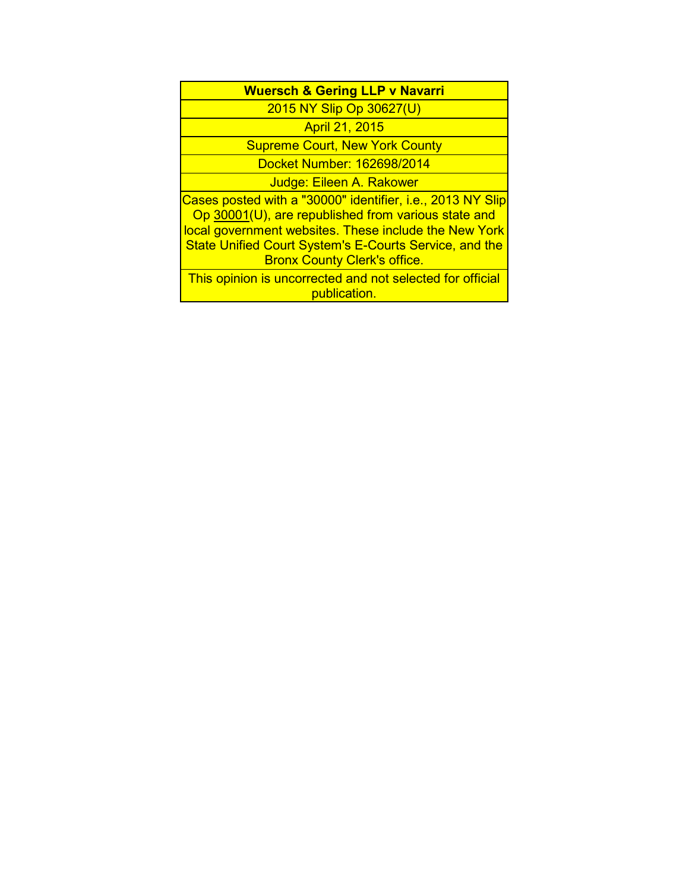| <b>Wuersch &amp; Gering LLP v Navarri</b>                                                                                                                                                                                                                                          |
|------------------------------------------------------------------------------------------------------------------------------------------------------------------------------------------------------------------------------------------------------------------------------------|
| 2015 NY Slip Op 30627(U)                                                                                                                                                                                                                                                           |
| <b>April 21, 2015</b>                                                                                                                                                                                                                                                              |
| <b>Supreme Court, New York County</b>                                                                                                                                                                                                                                              |
| Docket Number: 162698/2014                                                                                                                                                                                                                                                         |
| Judge: Eileen A. Rakower                                                                                                                                                                                                                                                           |
| Cases posted with a "30000" identifier, i.e., 2013 NY Slip<br>Op 30001(U), are republished from various state and<br>local government websites. These include the New York<br><b>State Unified Court System's E-Courts Service, and the</b><br><b>Bronx County Clerk's office.</b> |
| This opinion is uncorrected and not selected for official<br>publication.                                                                                                                                                                                                          |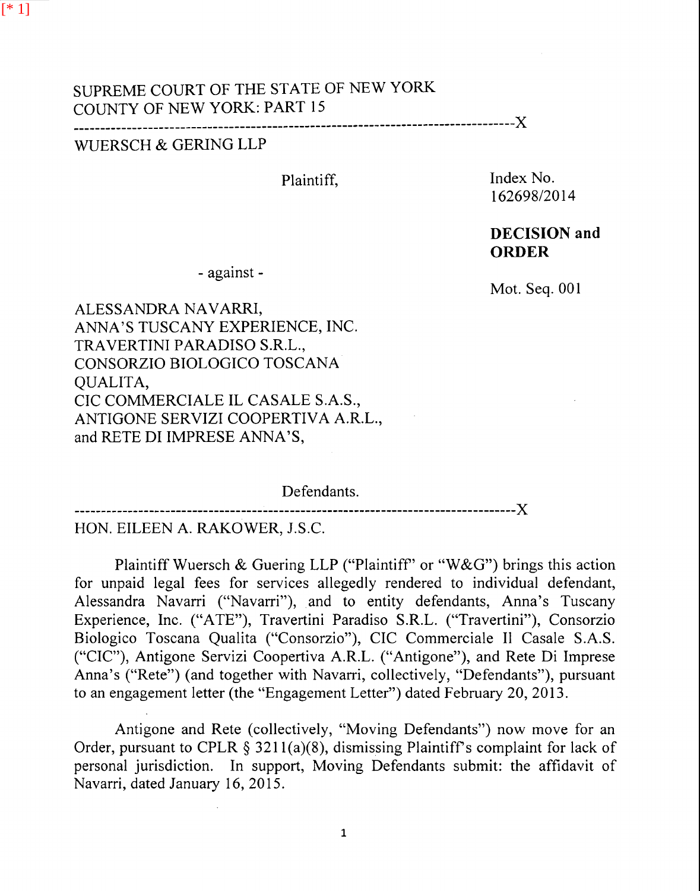## SUPREME COURT OF THE STATE OF NEW YORK COUNTY OF NEW YORK: PART 15 ----------------------------------------------------------------------------------)(

## WUERSCH & GERING LLP

Plaintiff,

Index No. 162698/2014

## **DECISION and ORDER**

- against -

Mot. Seq. 001

ALESSANDRA NAVARRI, ANNA'S TUSCANY EXPERIENCE, INC. TRA VERTINI PARADISO S.R.L., CONSORZIO BIOLOGICO TOSCANA QUALITA, CIC COMMERCIALE IL CASALE S.A.S., ANTIGONE SERVIZI COOPERTIVA A.R.L., and RETE DI IMPRESE ANNA'S,

Defendants. ----------------------------------------------------------------------------------)(

HON. EILEEN A. RAKOWER, J.S.C.

Plaintiff Wuersch & Guering LLP ("Plaintiff" or "W&G") brings this action for unpaid legal fees for services allegedly rendered to individual defendant, Alessandra Navarri ("Navarri"), and to entity defendants, Anna's Tuscany Experience, Inc. ("ATE"), Travertini Paradiso S.R.L. ("Travertini"), Consorzio Biologico Toscana Qualita ("Consorzio"), CIC Commerciale 11 Casale S.A.S. ("CIC"), Antigone Servizi Coopertiva A.R.L. ("Antigone"), and Rete Di Imprese Anna's ("Rete") (and together with Navarri, collectively, "Defendants"), pursuant to an engagement letter (the "Engagement Letter") dated February 20, 2013.

Antigone and Rete (collectively, "Moving Defendants") now move for an Order, pursuant to CPLR § 3211(a)(8), dismissing Plaintiff's complaint for lack of personal jurisdiction. In support, Moving Defendants submit: the affidavit of Navarri, dated January 16, 2015.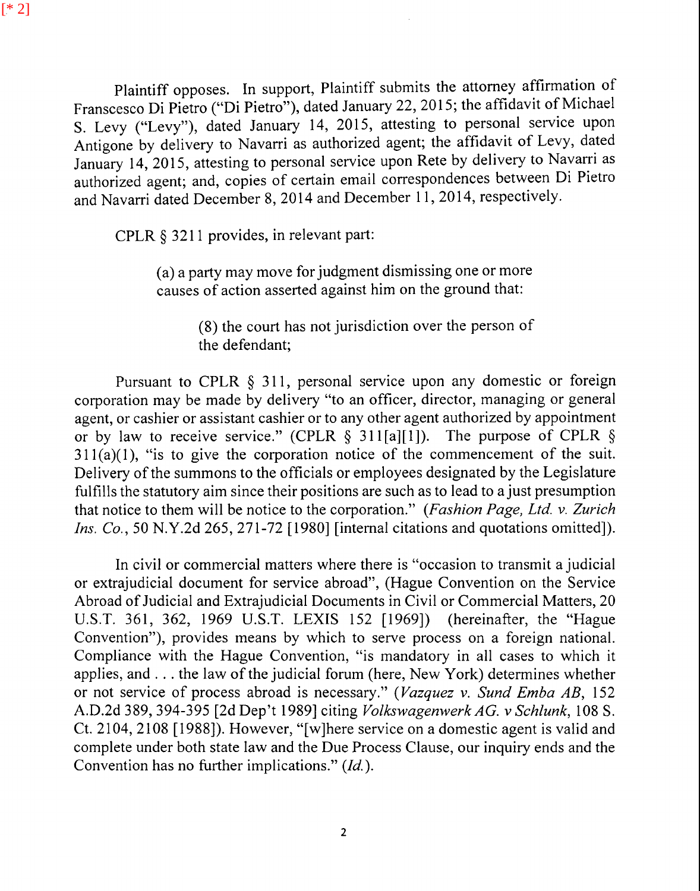[\* 2]

Plaintiff opposes. In support, Plaintiff submits the attorney affirmation of Franscesco Di Pietro ("Di Pietro"), dated January 22, 2015; the affidavit of Michael S. Levy ("Levy"), dated January 14, 2015, attesting to personal service upon Antigone by delivery to Navarri as authorized agent; the affidavit of Levy, dated January 14, 2015, attesting to personal service upon Rete by delivery to Navarri as authorized agent; and, copies of certain email correspondences between Di Pietro and Navarri dated December 8, 2014 and December 11, 2014, respectively.

CPLR § 3211 provides, in relevant part:

(a) a party may move for judgment dismissing one or more causes of action asserted against him on the ground that:

> (8) the court has not jurisdiction over the person of the defendant;

Pursuant to CPLR § 311, personal service upon any domestic or foreign corporation may be made by delivery "to an officer, director, managing or general agent, or cashier or assistant cashier or to any other agent authorized by appointment or by law to receive service." (CPLR  $\S$  311[a][1]). The purpose of CPLR  $\S$  $311(a)(1)$ , "is to give the corporation notice of the commencement of the suit. Delivery of the summons to the officials or employees designated by the Legislature fulfills the statutory aim since their positions are such as to lead to a just presumption that notice to them will be notice to the corporation." *(Fashion Page, Ltd. v. Zurich Ins. Co.,* 50 N.Y.2d 265, 271-72 [1980] [internal citations and quotations omitted]).

In civil or commercial matters where there is "occasion to transmit a judicial or extrajudicial document for service abroad", (Hague Convention on the Service Abroad of Judicial and Extrajudicial Documents in Civil or Commercial Matters, 20 U.S.T. 361, 362, 1969 U.S.T. LEXIS 152 [1969]) (hereinafter, the "Hague Convention"), provides means by which to serve process on a foreign national. Compliance with the Hague Convention, "is mandatory in all cases to which it applies, and ... the law of the judicial forum (here, New York) determines whether or not service of process abroad is necessary." *(Vazquez v. Sund Emba AB,* 152 A.D.2d 389, 394-395 [2d Dep't 1989] citing *Volkswagenwerk AG. v Schlunk,* 108 S. Ct. 2104, 2108 [1988]). However, "[w]here service on a domestic agent is valid and complete under both state law and the Due Process Clause, our inquiry ends and the Convention has no further implications." *(Id.).*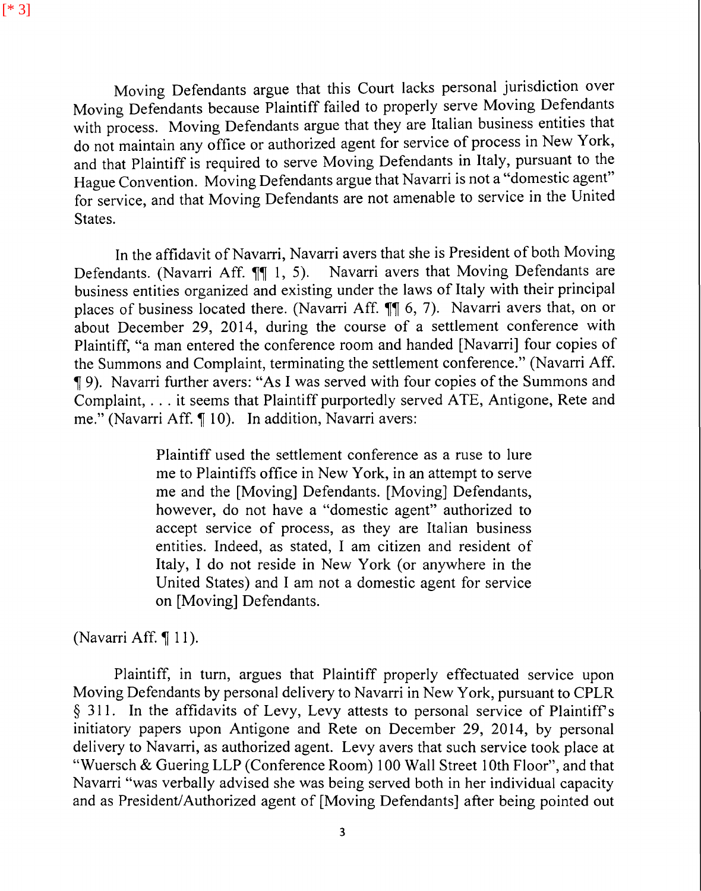Moving Defendants argue that this Court lacks personal jurisdiction over Moving Defendants because Plaintiff failed to properly serve Moving Defendants with process. Moving Defendants argue that they are Italian business entities that do not maintain any office or authorized agent for service of process in New York, and that Plaintiff is required to serve Moving Defendants in Italy, pursuant to the Hague Convention. Moving Defendants argue that Navarri is not a "domestic agent" for service, and that Moving Defendants are not amenable to service in the United States.

In the affidavit of Navarri, Navarri avers that she is President of both Moving Defendants. (Navarri Aff.  $\P\P$  1, 5). Navarri avers that Moving Defendants are business entities organized and existing under the laws of Italy with their principal places of business located there. (Navarri Aff.  $\P\P$  6, 7). Navarri avers that, on or about December 29, 2014, during the course of a settlement conference with Plaintiff, "a man entered the conference room and handed [Navarri] four copies of the Summons and Complaint, terminating the settlement conference." (Navarri Aff. <sup>~</sup>9). Navarri further avers: "As I was served with four copies of the Summons and Complaint, ... it seems that Plaintiff purportedly served ATE, Antigone, Rete and me." (Navarri Aff. ¶ 10). In addition, Navarri avers:

> Plaintiff used the settlement conference as a ruse to lure me to Plaintiffs office in New York, in an attempt to serve me and the [Moving] Defendants. [Moving] Defendants, however, do not have a "domestic agent" authorized to accept service of process, as they are Italian business entities. Indeed, as stated, I am citizen and resident of Italy, I do not reside in New York (or anywhere in the United States) and I am not a domestic agent for service on [Moving] Defendants.

(Navarri Aff. ¶ 11).

Plaintiff, in turn, argues that Plaintiff properly effectuated service upon Moving Defendants by personal delivery to Navarri in New York, pursuant to CPLR § 311. In the affidavits of Levy, Levy attests to personal service of Plaintiff's initiatory papers upon Antigone and Rete on December 29, 2014, by personal delivery to Navarri, as authorized agent. Levy avers that such service took place at "Wuersch & Guering LLP (Conference Room) 100 Wall Street 10th Floor", and that Navarri "was verbally advised she was being served both in her individual capacity and as President/Authorized agent of [Moving Defendants] after being pointed out